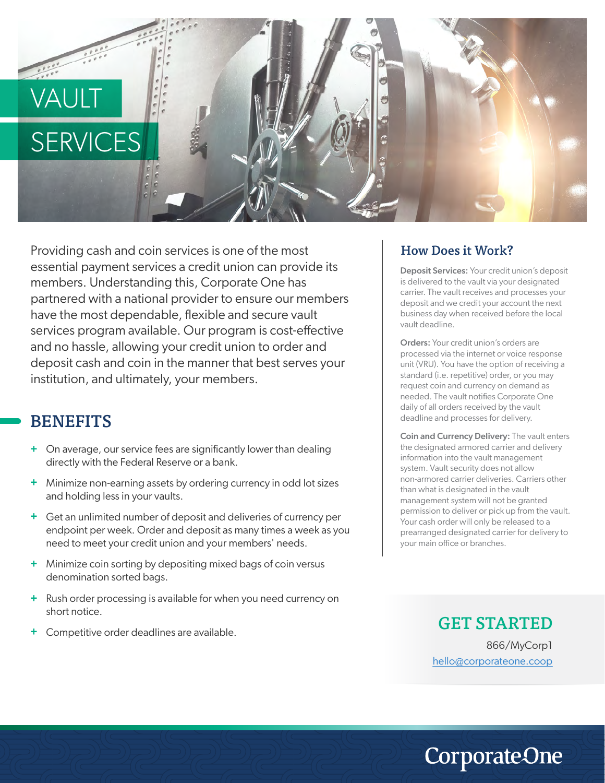## VAUL<sup>-</sup> **SERVICES**

Providing cash and coin services is one of the most essential payment services a credit union can provide its members. Understanding this, Corporate One has partnered with a national provider to ensure our members have the most dependable, flexible and secure vault services program available. Our program is cost-effective and no hassle, allowing your credit union to order and deposit cash and coin in the manner that best serves your institution, and ultimately, your members.

## **BENEFITS**

- On average, our service fees are significantly lower than dealing **+** directly with the Federal Reserve or a bank.
- Minimize non-earning assets by ordering currency in odd lot sizes **+** and holding less in your vaults.
- Get an unlimited number of deposit and deliveries of currency per **+** endpoint per week. Order and deposit as many times a week as you need to meet your credit union and your members' needs.
- Minimize coin sorting by depositing mixed bags of coin versus **+** denomination sorted bags.
- Rush order processing is available for when you need currency on **+** short notice.
- Competitive order deadlines are available. **+**

## How Does it Work?

Deposit Services: Your credit union's deposit is delivered to the vault via your designated carrier. The vault receives and processes your deposit and we credit your account the next business day when received before the local vault deadline.

Orders: Your credit union's orders are processed via the internet or voice response unit (VRU). You have the option of receiving a standard (i.e. repetitive) order, or you may request coin and currency on demand as needed. The vault notifies Corporate One daily of all orders received by the vault deadline and processes for delivery.

Coin and Currency Delivery: The vault enters the designated armored carrier and delivery information into the vault management system. Vault security does not allow non-armored carrier deliveries. Carriers other than what is designated in the vault management system will not be granted permission to deliver or pick up from the vault. Your cash order will only be released to a prearranged designated carrier for delivery to your main office or branches.

> GET STARTED 866/MyCorp1 hello@corporateone.coop

**CorporateOne**